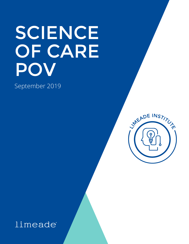# SCIENCE OF CARE POV

September 2019

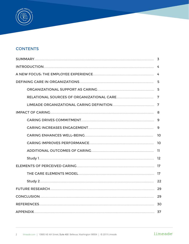

#### **CONTENTS**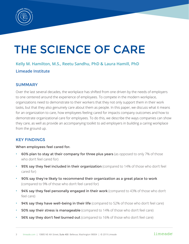

## THE SCIENCE OF CARE

### **Kelly M. Hamilton, M.S., Reetu Sandhu, PhD & Laura Hamill, PhD Limeade Institute**

#### **SUMMARY**

Over the last several decades, the workplace has shifted from one driven by the needs of employers to one centered around the experience of employees. To compete in the modern workplace, organizations need to demonstrate to their workers that they not only support them in their work tasks, but that they also genuinely care about them as people. In this paper, we discuss what it means for an organization to care, how employees feeling cared for impacts company outcomes and how to demonstrate organizational care for employees. To do this, we describe the ways companies can show they care, as well as provide an accompanying toolkit to aid employers in building a caring workplace from the ground up.

#### KEY FINDINGS

#### When employees feel cared for:

- 60% plan to stay at their company for three plus years (as opposed to only 7% of those who don't feel cared for)
- **95% say they feel included in their organization** (compared to 14% of those who don't feel cared for)
- 90% say they're likely to recommend their organization as a great place to work (compared to 9% of those who don't feel cared for)
- 94% say they feel personally engaged in their work (compared to 43% of those who don't feel care)
- 94% say they have well-being in their life (compared to 52% of those who don't feel care)
- 50% say their stress is manageable (compared to 14% of those who don't feel care)
- 56% say they don't feel burned out (compared to 16% of those who don't feel care)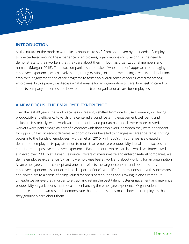

#### INTRODUCTION

As the nature of the modern workplace continues to shift from one driven by the needs of employers to one centered around the experience of employees, organizations must recognize the need to demonstrate to their workers that they care about them — both as organizational members and humans (Morgan, 2015). To do so, companies should take a "whole-person" approach to managing the employee experience, which involves integrating existing corporate well-being, diversity and inclusion, employee engagement and other programs to foster an overall sense of feeling cared for among employees. In this paper, we discuss what it means for an organization to care, how feeling cared for impacts company outcomes and how to demonstrate organizational care for employees.

#### A NEW FOCUS: THE EMPLOYEE EXPERIENCE

Over the last 40 years, the workplace has increasingly shifted from one focused primarily on driving productivity and efficiency towards one centered around fostering engagement, well-being and inclusion. Historically, when work was more routine and patriarchal models were more trusted, workers were paid a wage as part of a contract with their employers, on whom they were dependent for opportunities. In recent decades, economic forces have led to changes in career patterns, shifting power into the hands of employees (Morgan et al., 2015; Pink, 2009). This change has created a demand on employers to pay attention to more than employee productivity, but also the factors that contribute to a positive employee experience. Based on our own research, in which we interviewed and surveyed over 200 Chief Human Resource Officers of medium-size and enterprise-level companies, we define employee experience (EX) as how employees feel at work and about working for an organization. As an employee-centric concept and one that reflects the larger economic and societal shifts, employee experience is connected to all aspects of one's work life, from relationships with supervisors and coworkers to a sense of being valued for one's contributions and growing in one's career. At Limeade we believe that in order to attract and retain the best talent, foster engagement and maximize productivity, organizations must focus on enhancing the employee experience. Organizational literature and our own research demonstrate that, to do this, they must show their employees that they genuinely care about them.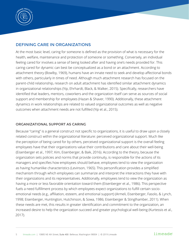

#### DEFINING CARE IN ORGANIZATIONS

At the most basic level, caring for someone is defined as the provision of what is necessary for the health, welfare, maintenance and protection of someone or something. Conversely, an individual feeling cared for involves a sense of being looked after and having one's needs provided for. This caring-cared for dynamic can best be conceptualized as a bond or an attachment. According to attachment theory (Bowlby, 1969), humans have an innate need to seek and develop affectional bonds with others, particularly in times of need. Although much attachment research has focused on the parent-child relationship, research on adult attachment has identified similar attachment dynamics in organizational relationships (Yip, Ehrhardt, Black, & Walker, 2015). Specifically, researchers have identified that leaders, mentors, coworkers and the organization itself can serve as sources of social support and membership for employees (Hazan & Shaver, 1990). Additionally, these attachment dynamics in work relationships are related to valued organizational outcomes as well as negative outcomes when attachment needs are not fulfilled (Yip et al., 2015).

#### ORGANIZATIONAL SUPPORT AS CARING

Because "caring" is a general construct not specific to organizations, it is useful to draw upon a closely related construct within the organizational literature: perceived organizational support. Much like the perception of being cared for by others, perceived organizational support is the overall feeling employees have that their organizations value their contributions and care about their well-being (Eisenberger et al., 1997; Kim, Eisenberger, & Baik, 2016). According to the theory, because the organization sets policies and norms that provide continuity, is responsible for the actions of its managers and specifies how employees should behave, employees tend to view the organization as having humanlike characteristics (Levinson, 1965). This personification provides a simplified mechanism through which employees can summarize and interpret the interactions they have with their organizations and its representatives. Additionally, employees tend to view the organization as having a more or less favorable orientation toward them (Eisenberger et al., 1986). This perspective fuels a need fulfillment process by which employees expect organizations to fulfill certain socioemotional needs (e.g., affiliation, esteem, and emotional support) (Armeli, Eisenberger, Fasolo, & Lynch, 1998; Eisenberger, Huntington, Hutchinson, & Sowa, 1986; Eisenberger & Stinglhamber, 2011). When these needs are met, this results in greater identification and commitment to the organization, an increased desire to help the organization succeed and greater psychological well-being (Kurtessis et al., 2017).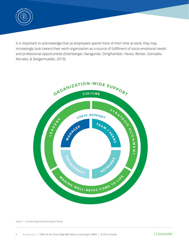

It is important to acknowledge that as employees spend more of their time at work, they may increasingly look toward their work organization as a source of fulfillment of socio-emotional needs and professional opportunities (Eisenberger, Karagonlar, Stinglhamber, Neves, Becker, Gonzales-Morales, & Steigermueller, 2019).



Figure 1. Limeade Organizational Support Model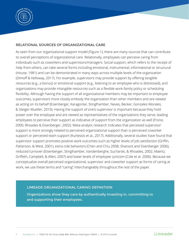

#### RELATIONAL SOURCES OF ORGANIZATIONAL CARE

As seen from our organizational support model (Figure 1), there are many sources that can contribute to overall perceptions of organizational care. Relationally, employees can perceive caring from individuals such as coworkers and supervisors/managers. Social support, which refers to the receipt of help from others, can take several forms including emotional, instrumental, informational or structural (House, 1981) and can be demonstrated in many ways across multiple levels of the organization (Dimoff & Kelloway, 2017). For example, supervisors may provide support by offering tangible resources (e.g., a bonus) or emotional support (e.g., listening to an employee who is distressed), and organizations may provide intangible resources such as a flexible work-family policy or scheduling flexibility. Although having the support of all organizational members may be important to employee outcomes, supervisors more closely embody the organization than other members and are viewed as acting on its behalf (Eisenberger, Karagonlar, Stinglhamber, Neves, Becker, Gonzalez-Morales, & Steiger-Mueller, 2010). Having the support of one's supervisor is important because they hold power over the employee and are viewed as representatives of the organizations they serve, leading employees to perceive their support as indicative of support from the organization as well (Frone, 2000; Rhoades & Eisenberger, 2002). Meta-analytic research indicates that perceived supervisor support is more strongly related to perceived organizational support than is perceived coworker support or perceived team support (Kurtessis et al., 2017). Additionally, several studies have found that supervisor support promotes positive work outcomes such as higher levels of job satisfaction (Griffin, Patterson, & West, 2001), extra-role behaviors (Chen and Chiu 2008; Shanock and Eisenberger 2006), reduced turnover (Eisenberger, Stinglhamber, Vandenberghe, Sucharski, & Rhoades, 2002; Maertz, Griffeth, Campbell, & Allen, 2007) and lower levels of employee cynicism (Cole et al. 2006). Because we conceptualize overall perceived organizational, supervisor and coworker support as forms of caring at work, we use these terms and "caring" interchangeably throughout the rest of the paper.

#### LIMEADE ORGANIZATIONAL CARING DEFINITION

Organizations show they care by authentically investing in, committing to and supporting their employees.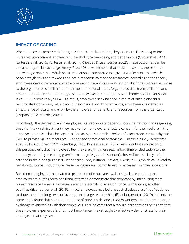

#### IMPACT OF CARING

When employees perceive their organizations care about them, they are more likely to experience increased commitment, engagement, psychological well-being and performance (Gupta et al., 2016; Kurtessis et al., 2015; Kurtessis et al., 2017; Rhoades & Eisenberger 2002). These outcomes can be explained by social exchange theory (Blau, 1964), which holds that social behavior is the result of an exchange process in which social relationships are rooted in a give-and-take process in which people weigh risks and rewards and act in response to those assessments. According to the theory, employees develop a more favorable orientation toward organizations for which they work in response to the organization's fulfillment of their socio-emotional needs (e.g., approval, esteem, affiliation and emotional support) and material goals and objectives (Eisenberger & Stinglhamber, 2011; Rousseau, 1989, 1995; Shore et al.,2006). As a result, employees seek balance in the relationship and thus reciprocate by providing value back to the organization. In other words, employment is viewed as an exchange of loyalty and effort by the employee for benefits and resources from the organization (Cropanzano & Mitchell, 2005).

Importantly, the degree to which employees will reciprocate depends upon their attributions regarding the extent to which treatment they receive from employers reflects a concern for their welfare. If the employee perceives that the organization cares, they consider the benefactors more trustworthy and likely to provide valued resources — either socioemotional or tangible — in the future (Eisenberger et al., 2019; Gouldner, 1960; Greenberg, 1980; Kurtessis et al., 2017). An important implication of this perspective is that if employees feel they are giving more (e.g., effort, time or dedication to the company) than they are being given in exchange (e.g., social support), they will be less likely to feel satisfied in their jobs (Kurtessis, Eisenberger, Ford, Buffardi, Stewart, & Adis, 2017), which could lead to negative outcomes including decreased engagement, commitment or increased turnover intentions.

Based on changing norms related to promotion of employees' well-being, dignity and respect, employers are putting forth additional efforts to demonstrate that they care by introducing more human resource benefits. However, recent meta-analytic research suggests that doing so often backfires (Eisenberger et al., 2019). In fact, employees may believe such displays are a "trap" designed to dupe them into long-term unfavorable exchange relationships (Eisenberger et al., 2019). Indeed, the same study found that compared to those of previous decades, today's workers do not have stronger exchange relationships with their employers. This indicates that although organizations recognize that the employee experience is of utmost importance, they struggle to effectively demonstrate to their employees that they care.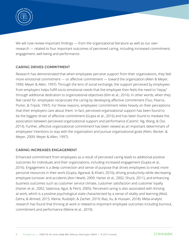

We will now review important findings — from the organizational literature as well as our own research — related to four important outcomes of perceived caring, including increased commitment, engagement, well-being and performance.

#### CARING DRIVES COMMITMENT

Research has demonstrated that when employees perceive support from their organizations, they feel more emotional commitment — or affective commitment — toward the organization (Allen & Meyer, 1990; Meyer & Allen, 1997). Through the lens of social exchange, the support perceived by employees from employers helps fulfill socio-emotional needs that the employee then feels the need to "repay" through additional dedication to organizational objectives (Kim et al., 2016). In other words, when they feel cared for, employees reciprocate the caring by developing affective commitment (Tsui, Pearce, Porter, & Tripoli, 1997). For these reasons, employees' commitment relies heavily on their perceptions that their employers care about them. In fact, perceived organizational support has been found to be the biggest driver of affective commitment (Gupta et al., 2016) and has been found to mediate the association between perceived organizational support and performance (Casimir, Ng, Wang, & Ooi, 2014). Further, affective organizational commitment has been viewed as an important determinant of employees' intentions to stay with the organization and pursue organizational goals (Klein, Becker, & Meyer, 2009; Meyer & Allen, 1997).

#### CARING INCREASES ENGAGEMENT

Enhanced commitment from employees as a result of perceived caring leads to additional positive outcomes for individuals and their organizations, including increased engagement (Gupta et al., 2016). Engagement is a deep connection and sense of purpose that drives employees to invest more personal resources in their work (Gupta, Agarwal, & Khatri, 2016), driving productivity while decreasing employee turnover and accidents (Aon Hewitt, 2009; Harter et al., 2002; Shuck, 2011), and enhancing business outcomes such as customer service climate, customer satisfaction and customer loyalty (Harter et al., 2002; Salanova, Agut, & Peiró, 2005). Perceived caring is also associated with thriving at work, which is a positive psychological state characterized by a sense of vitality and learning (Abid, Zahra, & Ahmed, 2015; Kleine, Rudolph, & Zacher, 2019; Riaz, Xu, & Hussain, 2018). Meta-analytic research has found that thriving at work is related to important employee outcomes including burnout, commitment and performance (Kleine et al., 2019).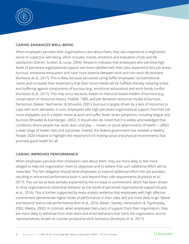

#### CARING ENHANCES WELL-BEING

When employees perceive their organizations care about them, they also experience a heightened sense of subjective well-being, which includes moods, emotions and evaluation of job and life satisfaction (Diener, Scollon, & Lucas, 2004). Research indicates that employees who perceive high levels of perceived organizational support are more satisfied with their jobs, experience less job stress, burnout, emotional exhaustion and have more balance between work and non-work life domains (Kurtessis et al., 2017). This is likely because perceived caring fulfills employees' socioemotional needs and increases their expectancy that their future needs will be fulfilled, thereby reducing stress and buffering against components of burnout (e.g., emotional exhaustion) and work-family conflict (Kurtessis et al., 2017). This may occur because, based on resource-based models of burnout (e.g., conservation of resources theory, Hobfall, 1989, and job demands-resources model of burnout, Demerouti, Bakker, Nachreiner, & Schaufeli, 2001), burnout is largely driven by a lack of resources to cope with work demands. In sum, employees with high perceived organizational support find their job more enjoyable, are in a better mood at work and suffer fewer strain symptoms, including fatigue and burnout (Rhoades & Eisenberger, 2002). It should also be noted that it is widely acknowledged that conditions where people live, work, learn and play — known as social determinants of health —affect a wide range of health risks and outcomes. Indeed, the federal government has initiated a Healthy People 2020 initiative to highlight the importance of creating social and physical environments that promote good health for all.

#### CARING IMPROVES PERFORMANCE

When employees perceive their employers care about them, they are more likely to feel more obliged to help the organization meet its objectives and to believe that such additional effort will be rewarded. This felt obligation should drive employees to expend additional effort into job activities, resulting in enhanced performance both in and beyond their role requirements (Kurtessis et al., 2017). This can be at least partially explained by the increase in commitment, which has been shown to drive organizational citizenship behavior as the result of perceived organizational support (Gupta et al., 2016). This is further supported by meta-analytic evidence that employees with high affective commitment demonstrate higher levels of performance in their roles and are more likely to go "above and beyond" (extra-role performance) (Kim et al., 2016; Meyer, Stanley, Herscovitch, & Topolnytsky, 2002; Riketta, 2002). In contrast, when employees feel a lack of support from their organization, they are more likely to withdraw from their work and enact behaviors that harm the organization and its representatives, known as counter-productive work behaviors (Kurtessis et al., 2017).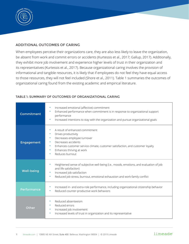

#### ADDITIONAL OUTCOMES OF CARING

When employees perceive their organizations care, they are also less likely to leave the organization, be absent from work and commit errors or accidents (Kurtessis et al., 2017; Gallup, 2017). Additionally, they exhibit more job involvement and experience higher levels of trust in their organization and its representatives (Kurtessis et al., 2017). Because organizational caring involves the provision of informational and tangible resources, it is likely that if employees do not feel they have equal access to those resources, they will not feel included (Shore et al., 2011). Table 1 summaries the outcomes of organizational caring found from the existing academic and empirical literature.

| <b>Commitment</b> | Increased emotional (affective) commitment<br>Enhanced performance when commitment is in response to organizational support<br>performance<br>Increased intentions to stay with the organization and pursue organizational goals<br>۰               |  |
|-------------------|-----------------------------------------------------------------------------------------------------------------------------------------------------------------------------------------------------------------------------------------------------|--|
| Engagement        | A result of enhanced commitment<br>Drives productivity<br>Decreases employee turnover<br>Decreases accidents<br>Enhances customer service climate, customer satisfaction, and customer loyalty<br>Enhances thriving at work<br>۰<br>Reduces burnout |  |
| <b>Well-being</b> | Heightened sense of subjective well-being (i.e., moods, emotions, and evaluation of job<br>۰<br>and life satisfaction)<br>Increased job satisfaction<br>Reduced job stress, burnout, emotional exhaustion and work-family conflict                  |  |
| Performance       | Increased in- and extra-role performance, including organizational citizenship behavior<br>۰<br>Reduced counter-productive work behaviors<br>۰                                                                                                      |  |
| Other             | Reduced absenteeism<br>Reduced errors<br>Increased job involvement<br>۰<br>Increased levels of trust in organization and its representative<br>$\bullet$                                                                                            |  |

#### TABLE 1: SUMMARY OF OUTCOMES OF ORGANIZATIONAL CARING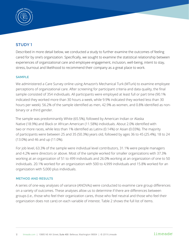

#### STUDY 1

Described in more detail below, we conducted a study to further examine the outcomes of feeling cared for by one's organization. Specifically, we sought to examine the statistical relationship between experiences of organizational care and employee engagement, inclusion, well-being, intent to stay, stress, burnout and likelihood to recommend their company as a great place to work.

#### SAMPLE

We administered a Care Survey online using Amazon's Mechanical Turk (MTurk) to examine employee perceptions of organizational care. After screening for participant criteria and data quality, the final sample consisted of 354 individuals. All participants were employed at least full or part time (90.1% indicated they worked more than 30 hours a week, while 9.9% indicated they worked less than 30 hours per week). 56.2% of the sample identified as men, 42.9% as women, and 0.8% identified as nonbinary or a third gender.

The sample was predominantly White (65.5%), followed by American Indian or Alaska Native (18.9%) and Black or African American (11.58%) individuals. About 2.0% identified with two or more races, while less than 1% identified as Latinx (0.14%) or Asian (0.03%). The majority of participants were between 25 and 35 (50.3%) years old, followed by ages 36 to 45 (25.4%), 18 to 24 (13.0%) and 46 and up (11.0%).

For job level, 63.3% of the sample were individual level contributors, 31.1% were people managers and 4.2% were directors or above. Most of the sample worked for smaller organizations with 37.3% working at an organization of 51 to 499 individuals and 26.0% working at an organization of one to 50 individuals. 20.1% worked for an organization with 500 to 4,999 individuals and 15.8% worked for an organization with 5,000 plus individuals.

#### METHOD AND RESULTS

A series of one-way analyses of variance (ANOVAs) were conducted to examine care group differences on a variety of outcomes. These analyses allow us to determine if there are differences between groups (i.e., those who feel their organization cares, those who feel neutral and those who feel their organization does not care) on each variable of interest. Table 2 shows the full list of items.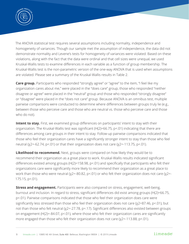

The ANOVA statistical test requires several assumptions including normality, independence and homogeneity of variances. Though our sample met the assumption of independence, the data did not demonstrate normality and Levene's tests for homogeneity of variances were violated. Based on these violations, along with the fact that the data were ordinal and that cell sizes were unequal, we used Kruskal-Wallis tests to examine differences in each variable as a function of group membership. The Kruskal-Wallis test is the non-parametric version of the one-way ANOVA that is used when assumptions are violated. Please see a summary of the Kruskal-Wallis results in Table 2.

**Care group.** Participants who responded "strongly agree" or "agree" to the item, "I feel like my organization cares about me," were placed in the "does care" group, those who responded "neither disagree or agree" were placed in the "neutral" group and those who responded "strongly disagree" or "disagree" were placed in the "does not care" group. Because ANOVA is an omnibus test, multiple pairwise comparisons were conducted to determine where differences between groups truly lie (e.g., between those who perceive care and those who are neutral vs. those who perceive care and those who do not).

**Intent to stay.** First, we examined group differences on participants' intent to stay with their organization. The Kruskal-Wallis test was significant (H(2)=66.75, p<.01) indicating that there are differences among care groups in their intent to stay. Follow-up pairwise comparisons indicated that those who feel their organization cares have a significantly stronger intent to stay than those who feel neutral ( $x^2$ =-62.74,  $p$ <.01) or that their organization does not care ( $x^2$ =-113.75,  $p$ <.01).

**Likelihood to recommend.** Next, groups were compared on how likely they would be to recommend their organization as a great place to work. Kruskal-Wallis results indicated significant differences existed among groups (H(2)=158.98, p<.01) and specifically that participants who felt their organizations care were significantly more likely to recommend their organization as a great place to work than those who were neutral (χ2=-80.82, p<.01) or who felt their organization does not care (χ2=- 175.15, p<.01).

**Stress and engagement.** Participants were also compared on stress, engagement, well-being, burnout and inclusion. In regard to stress, significant differences did exist among groups (H(2)=66.75, p<.01). Pairwise comparisons indicated that those who feel their organization does care were significantly less stressed than those who feel their organization does not care (χ2=87.46, p<.01), but not than those who felt neutral (χ2=-27.78, p=.17). Significant differences also existed between groups on engagement (H(2)=-84.07, p<.01), where those who felt their organization cares are significantly more engaged than those who felt their organization does not care (χ2=-113.88, p<.01).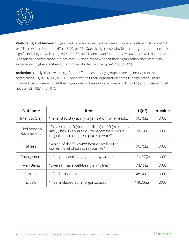

**Well-being and burnout.** Significant differences existed between groups in well-being (H(2)=74.19, p<.01), as well as burnout (H(2)=48.90, p<.01). Specifically, those who felt their organization cares had significantly higher well-being (χ2=-109.65, p<.01) and lower burnout (χ2=100.31, p<.01) than those who felt their organization did not care. Further, those who felt their organization does care also experienced higher well-being than those who felt neutral (χ2=-52.93, p<.01).

**Inclusion.** Finally, there were significant differences among groups in feeling included in their organization (H(2)=146.06, p<.01). Those who felt their organization cares felt significantly more included than those who felt their organization does not care (χ2=-163.01, p<.01) and those who felt neutral (χ2=-93.14, p<.01).

| Outcome                    | Item                                                                                                                                              | H(df)       | p-value |
|----------------------------|---------------------------------------------------------------------------------------------------------------------------------------------------|-------------|---------|
| Intent to Stay             | "I intend to stay at my organization for at least"                                                                                                | 66.75(2)    | .000    |
| Likelihood to<br>Recommend | "On a scale of 0 (not at all likely) to 10 (extremely<br>likely), how likely are you to recommend your<br>organization as a great place to work?" | 158.98(2)   | .000    |
| <b>Stress</b>              | "Which of the following best describes the<br>current level of stress in your life?"                                                              | 66.75(2)    | .000    |
| Engagement                 | "I feel personally engaged in my work."                                                                                                           | $-84.07(2)$ | .000    |
| Well-Being                 | "Overall, I have well-being in my life."                                                                                                          | 74.19(2)    | .000    |
| <b>Burnout</b>             | "I feel burned out."                                                                                                                              | 48.90(2)    | .000    |
| Inclusion                  | "I feel included at my organization."                                                                                                             | 146.06(2)   | .000    |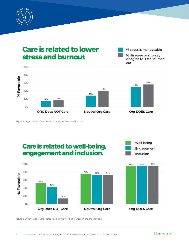

## **Care is related to lower** stress and burnout



Figure 2. Organizational Care relates to Employee Stress and Burnout

## Care is related to well-being, engagement and inclusion.



% stress is manageable

% disagree or strongly disagree to "I feel burned



Figure 3: Organizational Care relates to Employee Well-being, Engagement, and Inclusion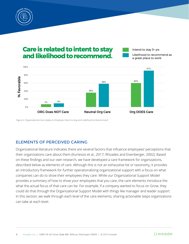

## Care is related to intent to stay and likelihood to recommend.

Intend to stay 3+ yrs

Likelihood to recommend as a great place to work



Figure 4: Organizational Care relates to Employee Intent-to-stay and Likelihood-to-Recommend

#### ELEMENTS OF PERCEIVED CARING

Organizational literature indicates there are several factors that influence employees' perceptions that their organizations care about them (Kurtessis et al., 2017; Rhoades and Eisenberger, 2002). Based on these findings and our own research, we have developed a care framework for organizations, described below as elements of care. Although this is not an exhaustive list or taxonomy, it provides an introductory framework for further operationalizing organizational support with a focus on what companies can do to show their employees they care. While our Organizational Support Model provides a summary of how to show your employees that you care, the care elements introduce the what the actual focus of that care can be. For example, if a company wanted to focus on Grow, they could do that through the Organizational Support Model with things like manager and leader support. In this section, we walk through each level of the care elements, sharing actionable steps organizations can take at each level.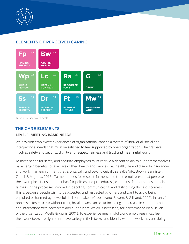

#### ELEMENTS OF PERCEIVED CARING



Figure 5: Limeade Care Elements

#### THE CARE ELEMENTS

#### LEVEL 1: MEETING BASIC NEEDS

We envision employees' experiences of organizational care as a system of individual, social and interpersonal needs that must be satisfied to feel supported by one's organization. The first level involves safety and security, dignity and respect, fairness and trust and meaningful work.

To meet needs for safety and security, employees must receive a decent salary to support themselves, have certain benefits to take care of their health and families (i.e., health, life and disability insurance), and work in an environment that is physically and psychologically safe (De Vito, Brown, Bannister, Cianci, & Mujtaba, 2016). To meet needs for respect, fairness, and trust, employees must perceive their workplace is just in that it has fair policies and procedures (i.e., not just fair outcomes, but also fairness in the processes involved in deciding, communicating, and distributing those outcomes). This is because people wish to be accepted and respected by others and want to avoid being exploited or harmed by powerful decision-makers (Cropanzano, Bowen, & Gilliland, 2007). In turn, fair processes foster trust; without trust, breakdowns can occur including a decrease in communication and interactions with coworkers and supervisors, which is necessary for performance on all levels of the organization (Wells & Kipnis, 2001). To experience meaningful work, employees must feel their work tasks are significant, have variety in their tasks, and identify with the work they are doing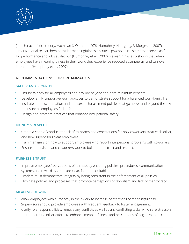

(job characteristics theory; Hackman & Oldham, 1976; Humphrey, Nahrgang, & Morgeson, 2007). Organizational researchers consider meaningfulness a "critical psychological state" that serves as fuel for performance and job satisfaction (Humphrey et al., 2007). Research has also shown that when employees have meaningfulness in their work, they experience reduced absenteeism and turnover intentions (Humphrey et al., 2007).

#### RECOMMENDATIONS FOR ORGANIZATIONS

#### SAFETY AND SECURITY

- Ensure fair pay for all employees and provide beyond-the-bare-minimum benefits.
- Develop family supportive work practices to demonstrate support for a balanced work-family life.
- Institute anti-discrimination and anti-sexual harassment policies that go above and beyond the law to ensure all employees feel safe.
- Design and promote practices that enhance occupational safety.

#### DIGNITY & RESPECT

- Create a code of conduct that clarifies norms and expectations for how coworkers treat each other, and how supervisors treat employees.
- Train managers on how to support employees who report interpersonal problems with coworkers.
- Ensure supervisors and coworkers work to build mutual trust and respect.

#### FAIRNESS & TRUST

- Improve employees' perceptions of fairness by ensuring policies, procedures, communication systems and reward systems are clear, fair and equitable.
- Leaders must demonstrate integrity by being consistent in the enforcement of all policies.
- Eliminate policies and processes that promote perceptions of favoritism and lack of meritocracy.

#### MEANINGFUL WORK

- Allow employees with autonomy in their work to increase perceptions of meaningfulness.
- Supervisors should provide employees with frequent feedback to foster engagement.
- Clarify role responsibilities, remove any conflicts as well as any conflicting tasks, which are stressors that undermine other efforts to enhance meaningfulness and perceptions of organizational caring.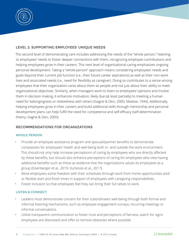

#### LEVEL 2: SUPPORTING EMPLOYEES' UNIQUE NEEDS

The second level of demonstrating care includes addressing the needs of the "whole person," listening to employees' needs to foster deeper connections with them, recognizing employee contributions and helping employees grow in their careers. This next level of organizational caring emphasizes ongoing personal development. Taking a "whole-person" approach means considering employees' needs and goals beyond their current job function (i.e., their future career aspirations) as well as their non-work lives and associated needs (i.e., need for flexibility as caregiver). Doing so contributes to a sense among employees that their organization cares about them as people and not just about their ability to meet organizational objectives. Similarly, when managers work to listen to employees' opinions and involve them in decision making, it enhances motivation, likely due (at least partially) to meeting a human need for belongingness or relatedness with others (Gagne & Deci, 2005; Maslow, 1944). Additionally, helping employees grow in their careers and build additional skills through mentorship and personal development plans can help fulfill the need for competence and self-efficacy (self-determination theory; Gagne & Deci, 2005).

#### RECOMMENDATIONS FOR ORGANIZATIONS

#### WHOLE PERSON

- Provide an employee assistance program and spousal/partner benefits to demonstrate compassion for employees' health and well-being both in- and outside the work environment. This should not only help increase perceptions of caring by employees who are directly affected by these benefits, but should also enhance perceptions of caring for employees who view having additional benefits such as these as evidence that the organizations values its employees as a group (Eisenberger et al., 2019; Kurtessis et al., 2017).
- Allow employees some freedom with their schedules through work from home opportunities and/ or flexible start and finish times in support of employees with caregiving responsibilities.
- Foster inclusion so that employees feel they can bring their full selves to work.

#### LISTEN & CONNECT

- Leaders must demonstrate concern for their subordinates' well-being through both formal and informal listening mechanisms, such as employee engagement surveys, recurring meetings or informal conversations.
- Utilize transparent communication to foster trust and perceptions of fairness, watch for signs employees are distressed and offer to remove obstacles where possible.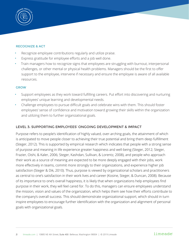

#### RECOGNIZE & ACT

- Recognize employee contributions regularly and utilize praise.
- Express gratitude for employee efforts and a job well done.
- Train managers how to recognize signs that employees are struggling with burnout, interpersonal challenges, or other mental or physical health problems. Managers should be the first to offer support to the employee, intervene if necessary and ensure the employee is aware of all available resources.

#### **GROW**

- Support employees as they work toward fulfilling careers. Put effort into discovering and nurturing employees' unique learning and developmental needs.
- Challenge employees to pursue difficult goals and celebrate wins with them. This should foster employees' sense of confidence and motivation toward growing their skills within the organization and utilizing them to further organizational goals.

#### LEVEL 3: SUPPORTING EMPLOYEES' ONGOING DEVELOPMENT & IMPACT

Purpose refers to people's identification of highly valued, over-arching goals, the attainment of which is anticipated to move people closer to achieving their true potential and bring them deep fulfillment (Steger, 2012). This is supported by empirical research which indicates that people with a strong sense of purpose and meaning in life experience greater happiness and well-being (Steger, 2012; Steger, Frazier, Oishi, & Kaler, 2006; Steger, Kashdan, Sullivan, & Lorentz, 2008), and people who approach their work as a source of meaning are expected to be more deeply engaged with their jobs, work more effectively in teams, commit more strongly to their organizations, and experience higher job satisfaction (Steger & Dik, 2010). Thus, purpose is viewed by organizational scholars and practitioners as central to one's satisfaction in their work lives and career (Kosine, Steger, & Duncan, 2008). Because of its importance to one's overall happiness, it is likely that when organizations help employees find purpose in their work, they will feel cared for. To do this, managers can ensure employees understand the mission, vision and values of the organization, which helps them see how their efforts contribute to the company's overall success. This should demonstrate organizational support, which should in turn inspire employees to encourage further identification with the organization and alignment of personal goals with organizational goals.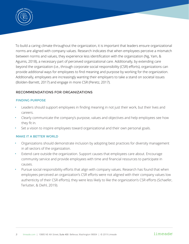

To build a caring climate throughout the organization, it is important that leaders ensure organizational norms are aligned with company values. Research indicates that when employees perceive a mismatch between norms and values, they experience less identification with the organization (Ng, Yam, & Aguinis, 2018), a necessary part of perceived organizational care. Additionally, by extending care beyond the organization (i.e., through corporate social responsibility (CSR) efforts), organizations can provide additional ways for employees to find meaning and purpose by working for the organization. Additionally, employees are increasingly wanting their employers to take a stand on societal issues (Bolden-Barrett, 2017) and engage in more CSR (Peretz, 2017).

#### RECOMMENDATIONS FOR ORGANIZATIONS

#### FINDING PURPOSE

- Leaders should support employees in finding meaning in not just their work, but their lives and careers.
- Clearly communicate the company's purpose, values and objectives and help employees see how they fit in.
- Set a vision to inspire employees toward organizational and their own personal goals.

#### MAKE IT A BETTER WORLD

- Organizations should demonstrate inclusion by adopting best practices for diversity management in all sectors of the organization.
- Extend care outside the organization. Support causes that employees care about. Encourage community service and provide employees with time and financial resources to participate in causes.
- Pursue social responsibility efforts that align with company values. Research has found that when employees perceived an organization's CSR efforts were not aligned with their company values low authenticity of their CSR efforts), they were less likely to like the organization's CSR efforts (Schaefer, Terlutter, & Diehl, 2019).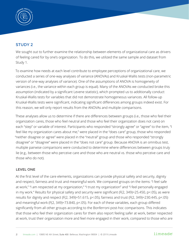

#### STUDY 2

We sought out to further examine the relationship between elements of organizational care as drivers of feeling cared for by one's organization. To do this, we utilized the same sample and dataset from Study 1.

To examine how needs at each level contribute to employee perceptions of organizational care, we conducted a series of one-way analyses of variance (ANOVAs) and Kruskal-Wallis tests (non-parametric version of one-way analyses of variance). One of the assumptions of ANOVA is homogeneity of variances (i.e., the variance within each group is equal). Many of the ANOVAs we conducted broke this assumption (indicated by a significant Levene statistic), which prompted us to additionally conduct Kruskal-Wallis tests for variables that did not demonstrate homogeneous variances. All follow-up Kruskal-Wallis tests were significant, indicating significant differences among groups indeed exist. For this reason, we will only report results from the ANOVAs and multiple comparisons.

These analyses allow us to determine if there are differences between groups (i.e., those who feel their organization cares, those who feel neutral and those who feel their organization does not care) on each "step" or variable of interest. Participants who responded "strongly agree" or "agree" to the item, "I feel like my organization cares about me," were placed in the "does care" group, those who responded "neither disagree or agree" were placed in the "neutral" group and those who responded "strongly disagree" or "disagree" were placed in the "does not care" group. Because ANOVA is an omnibus test, multiple pairwise comparisons were conducted to determine where differences between groups truly lie (e.g., between those who perceive care and those who are neutral vs. those who perceive care and those who do not).

#### LEVEL ONE

At the first level of the care elements, organizations can provide physical safety and security, dignity and respect, fairness and trust and meaningful work. We compared groups on the items: "I feel safe at work," "I am respected at my organization," "I trust my organization" and "I feel personally engaged in my work." Results for physical safety and security were significant (F(2, 349)=25.450, p<.05), as were results for dignity and respect (F(2, 349)=51.615, p<.05), fairness and trust (F(2, 349)=230.445, p<.05) and meaningful work (F(2, 349)=73.840, p<.05). For each of these variables, each group differed significantly from all other groups according to the Bonferroni post-hoc comparisons. This indicates that those who feel their organization cares for them also report feeling safer at work, better respected at work, trust their organization more and feel more engaged in their work, compared to those who are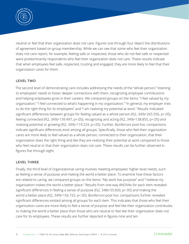

neutral or feel that their organization does not care. Figures one through four depict the distributions of agreement based on group membership. While we can see that some who feel their organization does not care report, for example, feeling safe or respected, those who do not feel safe or respected were predominantly respondents who feel their organization does not care. These results indicate that when employees feel safe, respected, trusting and engaged, they are more likely to feel that their organization cares for them.

#### LEVEL TWO

The second level of demonstrating care includes addressing the needs of the "whole person," listening to employees' needs to foster deeper connections with them, recognizing employee contributions and helping employees grow in their careers. We compared groups on the items: "I feel valued by my organization," "I feel connected to what's happening in my organization," "In general, my employer tries to do the right thing for its employees" and "I am realizing my potential at work." Results indicated significant differences between groups for feeling valued as a whole person (F(2, 349)=265.556, p<.05), feeling connected (F(2, 349)=139.497, p<.05), recognizing and acting (F(2, 349)=138.855, p<.05) and realizing potential or growing (F(2, 349)=119.224, p<.05). Further, Bonferroni post-hoc comparisons indicate significant differences exist among all groups. Specifically, those who feel their organization cares are more likely to feel valued as a whole person, connected to their organization, that their organization does the right thing and like they are realizing their potential at work compared to those who feel neutral or that their organization does not care. These results can be further observed in figures five through eight.

#### LEVEL THREE

Finally, the third level of organizational caring involves meeting employees' higher-level needs, such as feeling a sense of purpose and making the world a better place. To examine how these factors are related to caring, we compared groups on the items: "My work has purpose" and "I believe my organization makes the world a better place." Results from one-way ANOVAs for each item revealed significant differences in feeling a sense of purpose (F(2, 348)=55.830, p<.05) and making the world a better place (F(2, 349)=156.725, p<.05). Bonferroni post-hoc comparisons further revealed significant differences existed among all groups for each item. This indicates that those who feel their organization cares are more likely to feel a sense of purpose and feel like their organization contributes to making the world a better place than those who are neutral or feel like their organization does not care for its employees. These results are further depicted in figures nine and ten.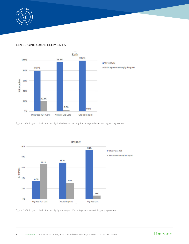

#### LEVEL ONE CARE ELEMENTS



Figure 1. Within group distribution for physical safety and security. Percentage indicates within group agreement.



Figure 2. Within group distribution for dignity and respect. Percentage indicates within group agreement.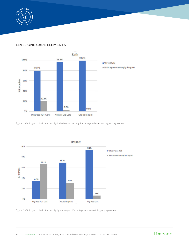

#### LEVEL ONE CARE ELEMENTS



Figure 1. Within group distribution for physical safety and security. Percentage indicates within group agreement.



Figure 2. Within group distribution for dignity and respect. Percentage indicates within group agreement.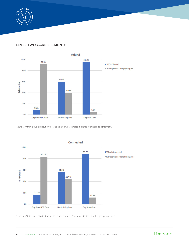

#### LEVEL TWO CARE ELEMENTS



Figure 5. Within group distribution for whole person. Percentage indicates within group agreement.



Connected

Figure 6. Within group distribution for listen and connect. Percentage indicates within group agreement.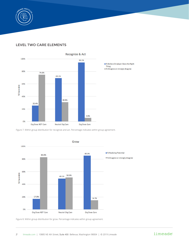

#### LEVEL TWO CARE ELEMENTS



Figure 7. Within group distribution for recognize and act. Percentage indicates within group agreement.



Figure 8. Within group distribution for grow. Percentage indicates within group agreement.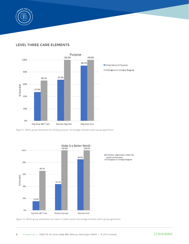

#### LEVEL THREE CARE ELEMENTS



Figure 9. Within group distribution for finding purpose. Percentage indicates within group agreement.



Figure 10. Within group distribution for make it a better world. Percentage indicates within group agreement.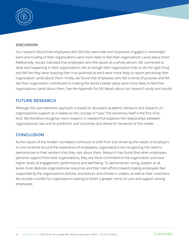

#### **DISCUSSION**

Our research found that employees who felt they were safe and respected, engaged in meaningful work and trusting of their organizations were more likely to feel their organizations cared about them. Additionally, results indicated that employees who felt valued as a whole person, felt connected to what was happening in their organizations, felt as though their organization tries to do the right thing and felt like they were realizing their true potential at work were more likely to report perceiving their organization cared about them. Finally, we found that employees who felt a sense of purpose and felt like their organization contributed to making the world a better place were more likely to feel their organizations cared about them. See the Appendix for full details about our research study and results.

#### FUTURE RESEARCH

Although the care elements approach is based on abundant academic literature and research on organizational support as it relates to the concept of "care," the taxonomy itself is the first of its kind. We therefore recognize more research is needed that explores the relationships between organizational care and its predictors and outcomes and allows for iterations of this model.

#### **CONCLUSION**

As the nature of the modern workplace continues to shift from one driven by the needs of employers to one centered around the experience of employees, organizations are recognizing the need to demonstrate to their workers that they care about them. Research has found that when employees perceive support from their organizations, they are more committed to the organization and have higher levels of engagement, performance and well-being. To demonstrate caring, leaders at all levels must dedicate organizational resources and their own efforts toward making employees feel supported by the organization's policies, procedures and climate it creates, as well as their coworkers. We provide a toolkit for organizations looking to foster a greater sense of care and support among employees.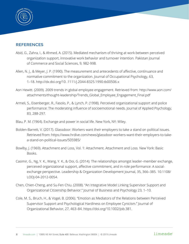

#### **REFERENCES**

- Abid, G., Zahra, I., & Ahmed, A. (2015). Mediated mechanism of thriving at work between perceived organization support, innovative work behavior and turnover intention. Pakistan Journal of Commerce and Social Sciences, 9, 982-998.
- Allen, N. J., & Meyer, J. P. (1990). The measurement and antecedents of affective, continuance and normative commitment to the organization. Journal of Occupational Psychology, 63, 1–18. http://dx.doi.org/10 .1111/j.2044-8325.1990.tb00506.x
- Aon Hewitt. (2009). 2009 trends in global employee engagement. Retrieved from: http://www.aon.com/ attachments/thought-leadership/Trends\_Global\_Employee\_Engagement\_Final.pdf
- Armeli, S., Eisenberger, R., Fasolo, P., & Lynch, P. (1998). Perceived organizational support and police performance: The moderating influence of socioemotional needs. Journal of Applied Psychology, 83, 288-297.
- Blau, P. M. (1964). Exchange and power in social life. New York, NY: Wiley.
- Bolden-Barrett, V. (2017). Glassdoor: Workers want their employers to take a stand on political issues. Retrieved from: https://www.hrdive.com/news/glassdoor-workers-want-their-employers-to-takea-stand-on-political-issues/505985/
- Bowlby, J. (1969). Attachment and Loss, Vol. 1: Attachment. Attachment and Loss. New York: Basic Books.
- Casimir, G., Ng, Y. K., Wang, Y. K., & Ooi, G. (2014). The relationships amongst leader–member exchange, perceived organizational support, affective commitment, and in-role performance: A socialexchange perspective. Leadership & Organization Development Journal, 35, 366–385. 10.1108/ LODJ-04-2012-0054.
- Chen, Chien-Cheng, and Su-Fen Chiu. (2008). "An Integrative Model Linking Supervisor Support and Organizational Citizenship Behavior." Journal of Business and Psychology 23, 1–10.
- Cole, M. S., Bruch, H., & Vogel, B. (2006). "Emotion as Mediators of the Relations between Perceived Supervisor Support and Psychological Hardiness on Employee Cynicism." Journal of Organizational Behavior, 27, 463–84. https://doi.org/10.1002/job.381.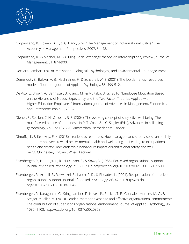

- Cropanzano, R., Bowen, D. E., & Gilliland, S. W. "The Management of Organizational Justice." The Academy of Management Perspectives, 2007, 34–48.
- Cropanzano, R., & Mitchell, M. S. (2005). Social exchange theory: An interdisciplinary review. Journal of Management, 31, 874-900.
- Deckers, Lambert. (2018). Motivation: Biological, Psychological, and Environmental. Routledge Press.
- Demerouti, E., Bakker, A. B., Nachreiner, F., & Schaufeli, W. B. (2001). The job demands–resources model of burnout. Journal of Applied Psychology, 86, 499-512.
- De Vito, L., Brown, A., Bannister, B., Cianci, M., & Mujtaba, B. G. (2016) "Employee Motivation Based on the Hierarchy of Needs, Expectancy and the Two-Factor Theories Applied with Higher Education Employees," International Journal of Advances in Management, Economics, and Entrepreneurship, 1, 20-32.
- Diener, E., Scollon, C. N., & Lucas, R. E. (2004). The evolving concept of subjective well-being: The multifaceted nature of happiness. In P. T. Costa & I. C. Siegler (Eds.), Advances in cell aging and gerontology, Vol. 15: 187-220. Amsterdam, Netherlands: Elsevier.
- Dimoff, J. K. & Kelloway, E. K. (2018). Leaders as resources: How managers and supervisors can socially support employees toward better mental health and well-being. In: Leading to occupational health and safety: How leadership behaviours impact organizational safety and wellbeing. Chichester, England: Wiley Blackwell.
- Eisenberger, R., Huntington, R., Hutchison, S., & Sowa, D. (1986). Perceived organizational support. Journal of Applied Psychology, 71, 500–507. http://dx.doi.org/10.1037/0021-9010.71.3.500
- Eisenberger, R., Armeli, S., Rexwinkel, B., Lynch, P. D., & Rhoades, L. (2001). Reciprocation of perceived organizational support. Journal of Applied Psychology, 86, 42–51. http://dx.doi. org/10.1037/0021-9010.86 .1.42
- Eisenberger, R., Karagonlar, G., Stinglhamber, F., Neves, P., Becker, T. E., Gonzalez-Morales, M. G., & Steiger-Mueller, M. (2010). Leader–member exchange and affective organizational commitment: The contribution of supervisor's organizational embodiment. Journal of Applied Psychology, 95, 1085–1103. http://dx.doi.org/10.1037/a0020858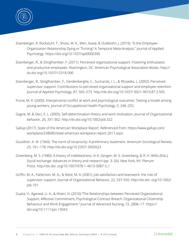

- Eisenberger, R. Rockstuhl, T., Shoss, M. K., Wen, Xueqi, & Dulebohn, J. (2019). "Is the Employee– Organization Relationship Dying or Thriving? A Temporal Meta-Analysis." Journal of Applied Psychology. https://doi.org/10.1037/apl0000390
- Eisenberger, R., & Stinglhamber, F. (2011). Perceived organizational support: Fostering enthusiastic and productive employees. Washington, DC: American Psychological Association Books. http:// dx.doi.org/10.1037/12318-000
- Eisenberger, R., Stinglhamber, F., Vandenberghe, C., Sucharski, I. L., & Rhoades, L. (2002). Perceived supervisor support: Contributions to perceived organizational support and employee retention. Journal of Applied Psychology, 87, 565–573. http://dx.doi.org/10.1037/ 0021-9010.87.3.565.
- Frone, M. R. (2000). Interpersonal conflict at work and psychological outcomes: Testing a model among young workers. Journal of Occupational Health Psychology, 5, 246–255.
- Gagne, M. & Deci, E. L. (2005). Self-determination theory and work motivation. Journal of Organizational behavior, 26, 331-362. http://dx.doi.org/10.1002/job.322
- Gallup (2017). State of the American Workplace Report. Referenced from: https://www.gallup.com/ workplace/238085/state-american-workplace-report-2017.aspx
- Gouldner, A. W. (1960). The norm of reciprocity: A preliminary statement. American Sociological Review, 25, 161–178. http://dx.doi.org/10.2307/ 2092623
- Greenberg, M. S. (1980). A theory of indebtedness. In K. Gergen, M. S. Greenberg, & R. H. Willis (Eds.), Social exchange: Advances in theory and research (pp. 3–26). New York, NY: Plenum Press. http://dx.doi .org/10.1007/978-1-4613-3087-5\_1
- Griffin, M. A., Patterson, M. G., & West, M. A. (2001). Job satisfaction and teamwork: the role of supervisor support. Journal of Organizational Behavior, 22, 537-550. http://dx.doi .org/10.1002/ job.101
- Gupta, V., Agarwal, U. A., & Khatri, N. (2016) "The Relationships between Perceived Organizational Support, Affective Commitment, Psychological Contract Breach, Organizational Citizenship Behaviour and Work Engagement." Journal of Advanced Nursing, 72, 2806–17. https:// doi.org/10.1111/jan.13043.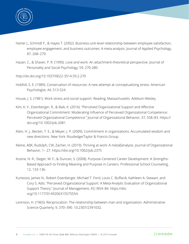

- Harter J., Schmidt F., & Hayes T. (2002). Business-unit-level relationship between employee satisfaction, employee engagement, and business outcomes: A meta-analysis. Journal of Applied Psychology, 87, 268–279.
- Hazan, C., & Shaver, P. R. (1990). Love and work: An attachment-theoretical perspective. Journal of Personality and Social Psychology, 59, 270-280.
- http://dx.doi.org/10.1037/0022-3514.59.2.270
- Hobfoll, S. E. (1989). Conservation of resources: A new attempt at conceptualizing stress. American Psychologist, 44, 513-524.
- House, J. S. (1981). Work stress and social support. Reading, Massachusetts: Addison-Wesley.
- Kim, K. Y., Eisenberger, R., & Baik, K. (2016). "Perceived Organizational Support and Affective Organizational Commitment: Moderating Influence of Perceived Organizational Competence: Perceived Organizational Competence." Journal of Organizational Behavior, 37, 558–83. https:// doi.org/10.1002/job.2081.
- Klein, H. J., Becker, T. E., & Meyer, J. P. (2009). Commitment in organizations: Accumulated wisdom and new directions. New York: Routledge/Taylor & Francis Group.
- Kleine, ADK, Rudolph, CW, Zacher, H. (2019). Thriving at work: A metaDanalysis. Journal of Organizational Behavior, 1– 27. https://doi.org/10.1002/job.2375
- Kosine, N. R., Steger, M. F., & Duncan, S. (2008). Purpose-Centered Career Development: A Strengths-Based Approach to Finding Meaning and Purpose in Careers. Professional School Counseling, 12, 133-136.
- Kurtessis, James N., Robert Eisenberger, Michael T. Ford, Louis C. Buffardi, Kathleen A. Stewart, and Cory S. Adis. "Perceived Organizational Support: A Meta-Analytic Evaluation of Organizational Support Theory." Journal of Management, 43,1854–84. https://doi. org/10.1177/0149206315575554.
- Levinson, H. (1965). Reciprocation: The relationship between man and organization. Administrative Science Quarterly, 9, 370–390. 10.2307/2391032.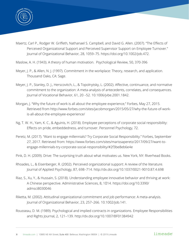

- Maertz, Carl P., Rodger W. Griffeth, Nathanael S. Campbell, and David G. Allen. (2007). "The Effects of Perceived Organizational Support and Perceived Supervisor Support on Employee Turnover." Journal of Organizational Behavior, 28, 1059–75. https://doi.org/10.1002/job.472.
- Maslow, A. H. (1943). A theory of human motivation. Psychological Review, 50, 370-396
- Meyer, J. P., & Allen, N. J. (1997). Commitment in the workplace: Theory, research, and application. Thousand Oaks, CA: Sage.
- Meyer, J. P., Stanley, D. J., Herscovitch, L., & Topolnytsky, L. (2002). Affective, continuance, and normative commitment to the organization: A meta-analysis of antecedents, correlates, and consequences. Journal of Vocational Behavior, 61, 20 –52. 10.1006/jvbe.2001.1842.
- Morgan, J. "Why the future of work is all about the employee experience," Forbes, May 27, 2015. Retrieved from http://www.forbes.com/sites/jacobmorgan/2015/05/27/why-the-future-of-workis-all-about-the-employee-experience/
- Ng, T. W. H., Yam, K. C., & Aguinis, H. (2018). Employee perceptions of corporate social responsibility: Effects on pride, embeddedness, and turnover. Personnel Psychology, 72.
- Peretz, M. (2017). "Want to engage millennials? Try Corporate Social Responsibility." Forbes, September 27, 2017. Retrieved from: https://www.forbes.com/sites/marissaperetz/2017/09/27/want-toengage-millennials-try-corporate-social-responsibility/#2f3be8eb6e4e
- Pink, D. H. (2009). Drive: The surprising truth about what motivates us. New York, NY: Riverhead Books.
- Rhoades, L., & Eisenberger, R. (2002). Perceived organizational support: A review of the literature. Journal of Applied Psychology, 87, 698–714. http://dx.doi.org/10.1037/0021-9010.87.4.698
- Riaz, S., Xu, Y., & Hussain, S. (2018). Understanding employee innovative behavior and thriving at work: A Chinese perspective. Administrative Sciences, 8, 1014. https://doi.org/10.3390/ admsci8030046
- Riketta, M. (2002). Attitudinal organizational commitment and job performance: A meta-analysis. Journal of Organizational Behavior, 23, 257–266. 10.1002/job.141.
- Rousseau, D. M. (1989). Psychological and implied contracts in organizations. Employee Responsibilities and Rights Journal, 2, 121–139. http://dx.doi.org/10.1007/BF01384942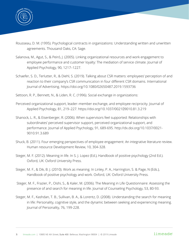

- Rousseau, D. M. (1995). Psychological contracts in organizations: Understanding written and unwritten agreements. Thousand Oaks, CA: Sage.
- Salanova, M., Agut, S., & Peiró, J. (2005). Linking organizational resources and work engagement to employee performance and customer loyalty: The mediation of service climate. Journal of Applied Psychology, 90, 1217–1227.
- Schaefer, S. D., Terlutter, R., & Diehl, S. (2019). Talking about CSR matters: employees' perception of and reaction to their company's CSR communication in four different CSR domains. International Journal of Advertising. https://doi.org/10.1080/02650487.2019.1593736
- Settoon, R. P., Bennett, N., & Liden, R. C. (1996). Social exchange in organizations:
- Perceived organizational support, leader–member exchange, and employee reciprocity. Journal of Applied Psychology, 81, 219-227. https://doi.org/10.1037/002109010.81.3.219
- Shanock, L. R., & Eisenberger, R. (2006). When supervisors feel supported: Relationships with subordinates' perceived supervisor support, perceived organizational support, and performance. Journal of Applied Psychology, 91, 689-695. http://dx.doi.org/10.1037/0021- 9010.91.3.689
- Shuck, B. (2011). Four emerging perspectives of employee engagement: An integrative literature review. Human resource Development Review, 10, 304-328.
- Steger, M. F. (2012). Meaning in life. In S. J. Lopez (Ed.), Handbook of positive psychology (2nd Ed.). Oxford, UK: Oxford University Press.
- Steger, M. F., & Dik, B. J. (2010). Work as meaning. In Linley, P. A., Harrington, S. & Page, N (Eds.), Handbook of positive psychology and work. Oxford, UK: Oxford University Press.
- Steger, M. F., Frazier, P., Oishi, S., & Kaler, M. (2006). The Meaning in Life Questionnaire: Assessing the presence of and search for meaning in life. Journal of Counseling Psychology, 53, 80-93.
- Steger, M. F., Kashdan, T. B., Sullivan, B. A., & Lorentz, D. (2008). Understanding the search for meaning in life: Personality, cognitive style, and the dynamic between seeking and experiencing meaning. Journal of Personality, 76, 199-228.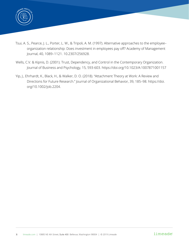

- Tsui, A. S., Pearce, J. L., Porter, L. W., & Tripoli, A. M. (1997). Alternative approaches to the employee– organization relationship: Does investment in employees pay off? Academy of Management Journal, 40, 1089–1121. 10.2307/256928.
- Wells, C.V. & Kipnis, D. (2001). Trust, Dependency, and Control in the Contemporary Organization. Journal of Business and Psychology, 15, 593-603. https://doi.org/10.1023/A:1007871001157
- Yip, J., Ehrhardt, K., Black, H., & Walker, D. O. (2018). "Attachment Theory at Work: A Review and Directions for Future Research." Journal of Organizational Behavior, 39, 185–98. https://doi. org/10.1002/job.2204.